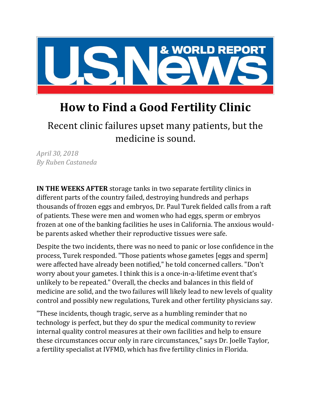

## **How to Find a Good Fertility Clinic**

Recent clinic failures upset many patients, but the medicine is sound.

*April 30, 2018 By Ruben Castaneda*

**IN THE WEEKS AFTER** storage tanks in two separate fertility clinics in different parts of the country failed, destroying hundreds and perhaps thousands of frozen eggs and embryos, Dr. Paul Turek fielded calls from a raft of patients. These were men and women who had eggs, sperm or embryos frozen at one of the banking facilities he uses in California. The anxious wouldbe parents asked whether their reproductive tissues were safe.

Despite the two incidents, there was no need to panic or lose confidence in the process, Turek responded. "Those patients whose gametes [eggs and sperm] were affected have already been notified," he told concerned callers. "Don't worry about your gametes. I think this is a once-in-a-lifetime event that's unlikely to be repeated." Overall, the checks and balances in this field of medicine are solid, and the two failures will likely lead to new levels of quality control and possibly new regulations, Turek and other fertility physicians say.

"These incidents, though tragic, serve as a humbling reminder that no technology is perfect, but they do spur the medical community to review internal quality control measures at their own facilities and help to ensure these circumstances occur only in rare circumstances," says Dr. Joelle Taylor, a fertility specialist at IVFMD, which has five fertility clinics in Florida.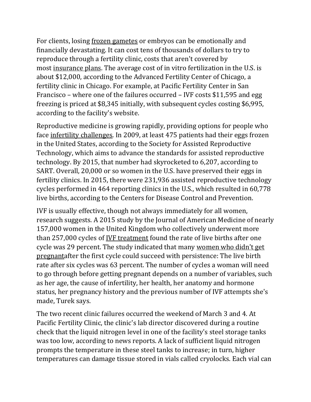For clients, losing [frozen gametes](https://health.usnews.com/health-news/patient-advice/articles/2014/10/20/should-i-freeze-my-eggs) or embryos can be emotionally and financially devastating. It can cost tens of thousands of dollars to try to reproduce through a fertility clinic, costs that aren't covered by most [insurance plans.](https://health.usnews.com/health-insurance) The average cost of in vitro fertilization in the U.S. is about \$12,000, according to the Advanced Fertility Center of Chicago, a fertility clinic in Chicago. For example, at Pacific Fertility Center in San Francisco – where one of the failures occurred – IVF costs \$11,595 and egg freezing is priced at \$8,345 initially, with subsequent cycles costing \$6,995, according to the facility's website.

Reproductive medicine is growing rapidly, providing options for people who face [infertility challenges.](https://health.usnews.com/health-care/for-better/articles/2017-06-23/understanding-male-infertility) In 2009, at least 475 patients had their eggs frozen in the United States, according to the Society for Assisted Reproductive Technology, which aims to advance the standards for assisted reproductive technology. By 2015, that number had skyrocketed to 6,207, according to SART. Overall, 20,000 or so women in the U.S. have preserved their eggs in fertility clinics. In 2015, there were 231,936 assisted reproductive technology cycles performed in 464 reporting clinics in the U.S., which resulted in 60,778 live births, according to the Centers for Disease Control and Prevention.

IVF is usually effective, though not always immediately for all women, research suggests. A 2015 study by the Journal of American Medicine of nearly 157,000 women in the United Kingdom who collectively underwent more than 257,000 cycles of [IVF treatment](https://health.usnews.com/health-news/patient-advice/articles/2015-12-15/should-you-travel-abroad-for-ivf) found the rate of live births after one cycle was 29 percent. The study indicated that many [women who didn't get](https://health.usnews.com/health-news/health-wellness/articles/2015/02/10/infertility-struggles-its-not-always-a-womans-issue)  [pregnanta](https://health.usnews.com/health-news/health-wellness/articles/2015/02/10/infertility-struggles-its-not-always-a-womans-issue)fter the first cycle could succeed with persistence: The live birth rate after six cycles was 63 percent. The number of cycles a woman will need to go through before getting pregnant depends on a number of variables, such as her age, the cause of infertility, her health, her anatomy and hormone status, her pregnancy history and the previous number of IVF attempts she's made, Turek says.

The two recent clinic failures occurred the weekend of March 3 and 4. At Pacific Fertility Clinic, the clinic's lab director discovered during a routine check that the liquid nitrogen level in one of the facility's steel storage tanks was too low, according to news reports. A lack of sufficient liquid nitrogen prompts the temperature in these steel tanks to increase; in turn, higher temperatures can damage tissue stored in vials called cryolocks. Each vial can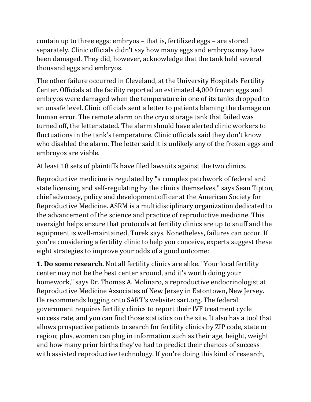contain up to three eggs; embryos – that is, [fertilized eggs](https://health.usnews.com/best-diet/the-fertility-diet) – are stored separately. Clinic officials didn't say how many eggs and embryos may have been damaged. They did, however, acknowledge that the tank held several thousand eggs and embryos.

The other failure occurred in Cleveland, at the University Hospitals Fertility Center. Officials at the facility reported an estimated 4,000 frozen eggs and embryos were damaged when the temperature in one of its tanks dropped to an unsafe level. Clinic officials sent a letter to patients blaming the damage on human error. The remote alarm on the cryo storage tank that failed was turned off, the letter stated. The alarm should have alerted clinic workers to fluctuations in the tank's temperature. Clinic officials said they don't know who disabled the alarm. The letter said it is unlikely any of the frozen eggs and embroyos are viable.

At least 18 sets of plaintiffs have filed lawsuits against the two clinics.

Reproductive medicine is regulated by "a complex patchwork of federal and state licensing and self-regulating by the clinics themselves," says Sean Tipton, chief advocacy, policy and development officer at the American Society for Reproductive Medicine. ASRM is a multidisciplinary organization dedicated to the advancement of the science and practice of reproductive medicine. This oversight helps ensure that protocols at fertility clinics are up to snuff and the equipment is well-maintained, Turek says. Nonetheless, failures can occur. If you're considering a fertility clinic to help you [conceive,](https://health.usnews.com/health-care/patient-advice/articles/2017-08-29/how-to-safely-conceive-when-a-partner-is-living-with-hiv) experts suggest these eight strategies to improve your odds of a good outcome:

**1. Do some research.** Not all fertility clinics are alike. "Your local fertility center may not be the best center around, and it's worth doing your homework," says Dr. Thomas A. Molinaro, a reproductive endocrinologist at Reproductive Medicine Associates of New Jersey in Eatontown, New Jersey. He recommends logging onto SART's website: [sart.org.](http://www.sart.org/) The federal government requires fertility clinics to report their IVF treatment cycle success rate, and you can find those statistics on the site. It also has a tool that allows prospective patients to search for fertility clinics by ZIP code, state or region; plus, women can plug in information such as their age, height, weight and how many prior births they've had to predict their chances of success with assisted reproductive technology. If you're doing this kind of research,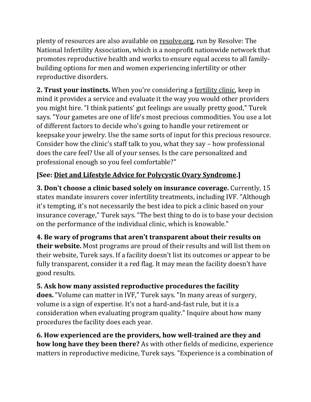plenty of resources are also available on [resolve.org,](http://www.resolve.org/) run by Resolve: The National Infertility Association, which is a nonprofit nationwide network that promotes reproductive health and works to ensure equal access to all familybuilding options for men and women experiencing infertility or other reproductive disorders.

**2. Trust your instincts.** When you're considering a [fertility clinic,](https://health.usnews.com/health-news/health-wellness/articles/2016-01-28/military-fertility-its-complicated) keep in mind it provides a service and evaluate it the way you would other providers you might hire. "I think patients' gut feelings are usually pretty good," Turek says. "Your gametes are one of life's most precious commodities. You use a lot of different factors to decide who's going to handle your retirement or keepsake your jewelry. Use the same sorts of input for this precious resource. Consider how the clinic's staff talk to you, what they say – how professional does the care feel? Use all of your senses. Is the care personalized and professional enough so you feel comfortable?"

## **[See: [Diet and Lifestyle Advice for Polycystic Ovary Syndrome.](https://health.usnews.com/health-news/patient-advice/slideshows/diet-and-lifestyle-advice-for-polycystic-ovary-syndrome)]**

**3. Don't choose a clinic based solely on insurance coverage.** Currently, 15 states mandate insurers cover infertility treatments, including IVF. "Although it's tempting, it's not necessarily the best idea to pick a clinic based on your insurance coverage," Turek says. "The best thing to do is to base your decision on the performance of the individual clinic, which is knowable."

**4. Be wary of programs that aren't transparent about their results on their website.** Most programs are proud of their results and will list them on their website, Turek says. If a facility doesn't list its outcomes or appear to be fully transparent, consider it a red flag. It may mean the facility doesn't have good results.

## **5. Ask how many assisted reproductive procedures the facility**

**does.** "Volume can matter in IVF," Turek says. "In many areas of surgery, volume is a sign of expertise. It's not a hard-and-fast rule, but it is a consideration when evaluating program quality." Inquire about how many procedures the facility does each year.

**6. How experienced are the providers, how well-trained are they and how long have they been there?** As with other fields of medicine, experience matters in reproductive medicine, Turek says. "Experience is a combination of